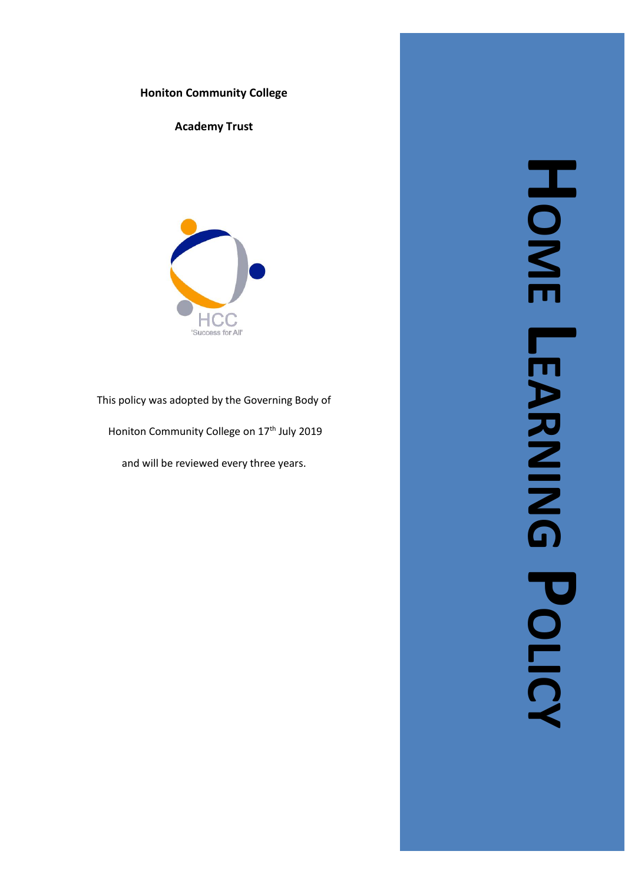

**Academy Trust**



This policy was adopted by the Governing Body of

Honiton Community College on 17<sup>th</sup> July 2019

and will be reviewed every three years .

**HOME LEARNING EARNING POLICY**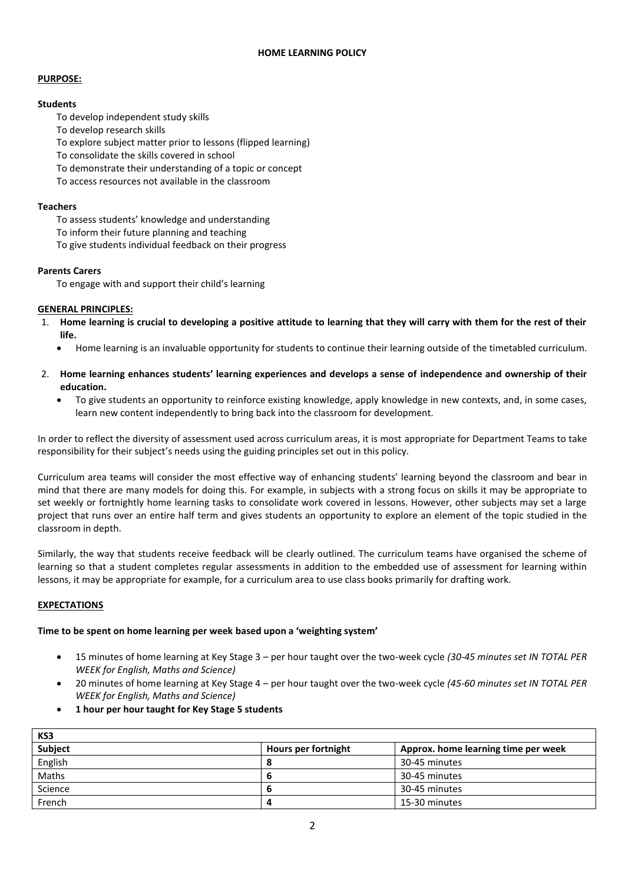#### **HOME LEARNING POLICY**

### **PURPOSE:**

## **Students**

- To develop independent study skills
- To develop research skills
- To explore subject matter prior to lessons (flipped learning)
- To consolidate the skills covered in school
- To demonstrate their understanding of a topic or concept
- To access resources not available in the classroom

### **Teachers**

- To assess students' knowledge and understanding
- To inform their future planning and teaching
- To give students individual feedback on their progress

## **Parents Carers**

To engage with and support their child's learning

## **GENERAL PRINCIPLES:**

- 1. **Home learning is crucial to developing a positive attitude to learning that they will carry with them for the rest of their life.**
	- Home learning is an invaluable opportunity for students to continue their learning outside of the timetabled curriculum.
- 2. **Home learning enhances students' learning experiences and develops a sense of independence and ownership of their education.** 
	- To give students an opportunity to reinforce existing knowledge, apply knowledge in new contexts, and, in some cases, learn new content independently to bring back into the classroom for development.

In order to reflect the diversity of assessment used across curriculum areas, it is most appropriate for Department Teams to take responsibility for their subject's needs using the guiding principles set out in this policy.

Curriculum area teams will consider the most effective way of enhancing students' learning beyond the classroom and bear in mind that there are many models for doing this. For example, in subjects with a strong focus on skills it may be appropriate to set weekly or fortnightly home learning tasks to consolidate work covered in lessons. However, other subjects may set a large project that runs over an entire half term and gives students an opportunity to explore an element of the topic studied in the classroom in depth.

Similarly, the way that students receive feedback will be clearly outlined. The curriculum teams have organised the scheme of learning so that a student completes regular assessments in addition to the embedded use of assessment for learning within lessons, it may be appropriate for example, for a curriculum area to use class books primarily for drafting work.

# **EXPECTATIONS**

 $k$ 

#### **Time to be spent on home learning per week based upon a 'weighting system'**

- 15 minutes of home learning at Key Stage 3 per hour taught over the two-week cycle *(30-45 minutes set IN TOTAL PER WEEK for English, Maths and Science)*
- 20 minutes of home learning at Key Stage 4 per hour taught over the two-week cycle *(45-60 minutes set IN TOTAL PER WEEK for English, Maths and Science)*
- **1 hour per hour taught for Key Stage 5 students**

| כנו     |                     |                                     |
|---------|---------------------|-------------------------------------|
| Subject | Hours per fortnight | Approx. home learning time per week |
| English |                     | 30-45 minutes                       |
| Maths   |                     | 30-45 minutes                       |
| Science |                     | 30-45 minutes                       |
| French  |                     | 15-30 minutes                       |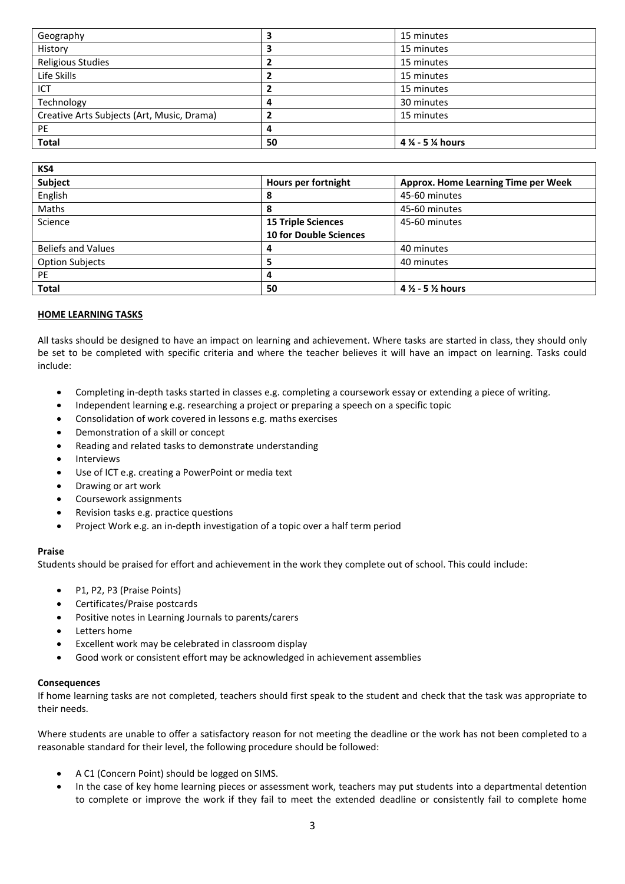| Geography                                  |    | 15 minutes      |
|--------------------------------------------|----|-----------------|
| History                                    |    | 15 minutes      |
| <b>Religious Studies</b>                   |    | 15 minutes      |
| Life Skills                                |    | 15 minutes      |
| ICT                                        |    | 15 minutes      |
| Technology                                 | 4  | 30 minutes      |
| Creative Arts Subjects (Art, Music, Drama) |    | 15 minutes      |
| PE                                         | 4  |                 |
| <b>Total</b>                               | 50 | 4 % - 5 % hours |

| KS4                       |                               |                                            |
|---------------------------|-------------------------------|--------------------------------------------|
| Subject                   | Hours per fortnight           | <b>Approx. Home Learning Time per Week</b> |
| English                   | 8                             | 45-60 minutes                              |
| <b>Maths</b>              | 8                             | 45-60 minutes                              |
| Science                   | <b>15 Triple Sciences</b>     | 45-60 minutes                              |
|                           | <b>10 for Double Sciences</b> |                                            |
| <b>Beliefs and Values</b> | 4                             | 40 minutes                                 |
| <b>Option Subjects</b>    | э                             | 40 minutes                                 |
| <b>PE</b>                 |                               |                                            |
| <b>Total</b>              | 50                            | $4\frac{1}{2}$ - 5 $\frac{1}{2}$ hours     |

## **HOME LEARNING TASKS**

All tasks should be designed to have an impact on learning and achievement. Where tasks are started in class, they should only be set to be completed with specific criteria and where the teacher believes it will have an impact on learning. Tasks could include:

- Completing in-depth tasks started in classes e.g. completing a coursework essay or extending a piece of writing.
- Independent learning e.g. researching a project or preparing a speech on a specific topic
- Consolidation of work covered in lessons e.g. maths exercises
- Demonstration of a skill or concept
- Reading and related tasks to demonstrate understanding
- **Interviews**
- Use of ICT e.g. creating a PowerPoint or media text
- Drawing or art work
- Coursework assignments
- Revision tasks e.g. practice questions
- Project Work e.g. an in-depth investigation of a topic over a half term period

#### **Praise**

Students should be praised for effort and achievement in the work they complete out of school. This could include:

- P1, P2, P3 (Praise Points)
- Certificates/Praise postcards
- Positive notes in Learning Journals to parents/carers
- Letters home
- Excellent work may be celebrated in classroom display
- Good work or consistent effort may be acknowledged in achievement assemblies

#### **Consequences**

If home learning tasks are not completed, teachers should first speak to the student and check that the task was appropriate to their needs.

Where students are unable to offer a satisfactory reason for not meeting the deadline or the work has not been completed to a reasonable standard for their level, the following procedure should be followed:

- A C1 (Concern Point) should be logged on SIMS.
- In the case of key home learning pieces or assessment work, teachers may put students into a departmental detention to complete or improve the work if they fail to meet the extended deadline or consistently fail to complete home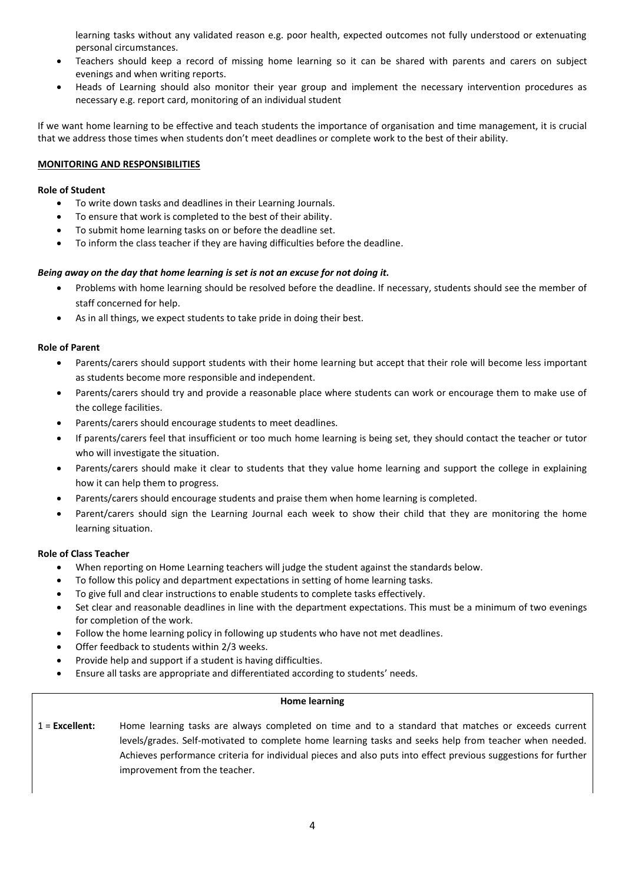learning tasks without any validated reason e.g. poor health, expected outcomes not fully understood or extenuating personal circumstances.

- Teachers should keep a record of missing home learning so it can be shared with parents and carers on subject evenings and when writing reports.
- Heads of Learning should also monitor their year group and implement the necessary intervention procedures as necessary e.g. report card, monitoring of an individual student

If we want home learning to be effective and teach students the importance of organisation and time management, it is crucial that we address those times when students don't meet deadlines or complete work to the best of their ability.

#### **MONITORING AND RESPONSIBILITIES**

### **Role of Student**

- To write down tasks and deadlines in their Learning Journals.
- To ensure that work is completed to the best of their ability.
- To submit home learning tasks on or before the deadline set.
- To inform the class teacher if they are having difficulties before the deadline.

# *Being away on the day that home learning is set is not an excuse for not doing it.*

- Problems with home learning should be resolved before the deadline. If necessary, students should see the member of staff concerned for help.
- As in all things, we expect students to take pride in doing their best.

## **Role of Parent**

- Parents/carers should support students with their home learning but accept that their role will become less important as students become more responsible and independent.
- Parents/carers should try and provide a reasonable place where students can work or encourage them to make use of the college facilities.
- Parents/carers should encourage students to meet deadlines.
- If parents/carers feel that insufficient or too much home learning is being set, they should contact the teacher or tutor who will investigate the situation.
- Parents/carers should make it clear to students that they value home learning and support the college in explaining how it can help them to progress.
- Parents/carers should encourage students and praise them when home learning is completed.
- Parent/carers should sign the Learning Journal each week to show their child that they are monitoring the home learning situation.

# **Role of Class Teacher**

- When reporting on Home Learning teachers will judge the student against the standards below.
- To follow this policy and department expectations in setting of home learning tasks.
- To give full and clear instructions to enable students to complete tasks effectively.
- Set clear and reasonable deadlines in line with the department expectations. This must be a minimum of two evenings for completion of the work.
- Follow the home learning policy in following up students who have not met deadlines.
- Offer feedback to students within 2/3 weeks.
- Provide help and support if a student is having difficulties.
- Ensure all tasks are appropriate and differentiated according to students' needs.

#### **Home learning**

1 = **Excellent:** Home learning tasks are always completed on time and to a standard that matches or exceeds current levels/grades. Self-motivated to complete home learning tasks and seeks help from teacher when needed. Achieves performance criteria for individual pieces and also puts into effect previous suggestions for further improvement from the teacher.